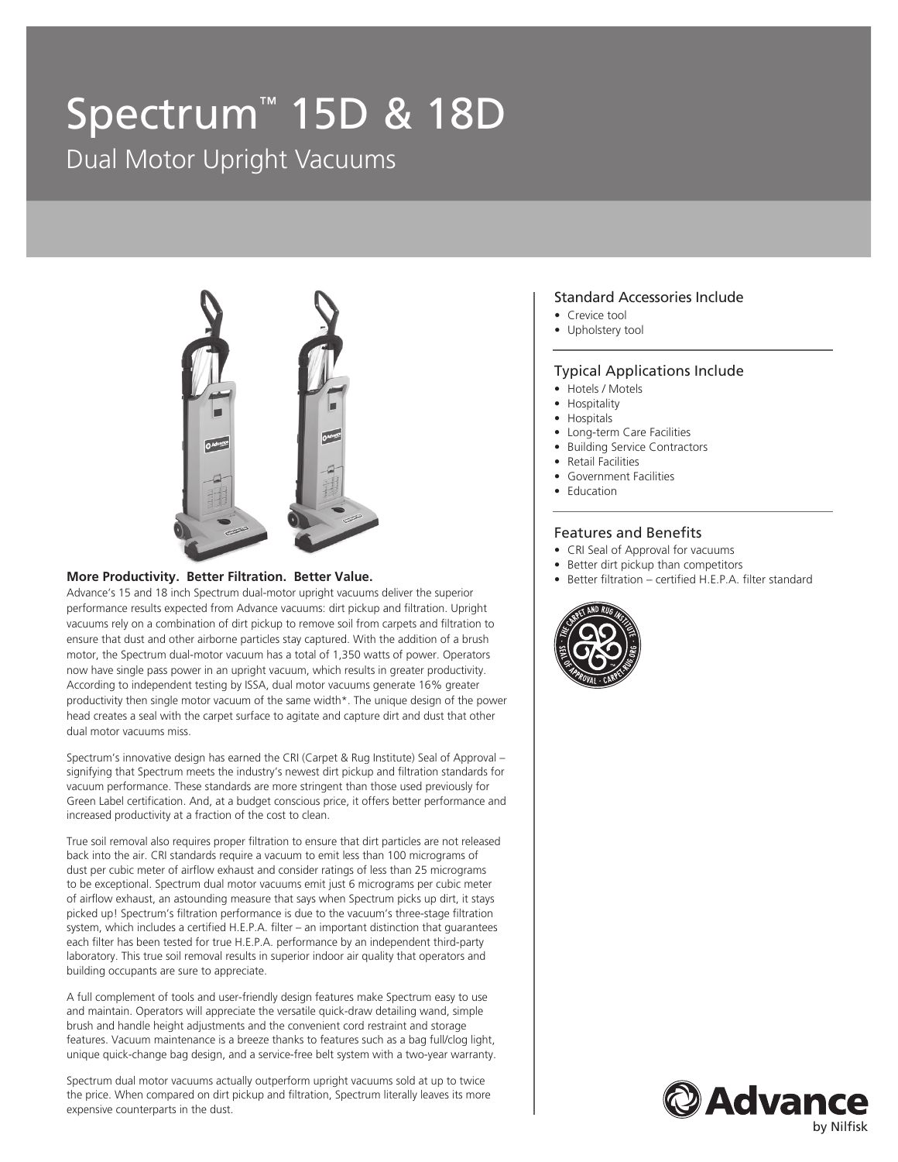# Spectrum™ 15D & 18D

Dual Motor Upright Vacuums



#### **More Productivity. Better Filtration. Better Value.**

Advance's 15 and 18 inch Spectrum dual-motor upright vacuums deliver the superior performance results expected from Advance vacuums: dirt pickup and filtration. Upright vacuums rely on a combination of dirt pickup to remove soil from carpets and filtration to ensure that dust and other airborne particles stay captured. With the addition of a brush motor, the Spectrum dual-motor vacuum has a total of 1,350 watts of power. Operators now have single pass power in an upright vacuum, which results in greater productivity. According to independent testing by ISSA, dual motor vacuums generate 16% greater productivity then single motor vacuum of the same width\*. The unique design of the power head creates a seal with the carpet surface to agitate and capture dirt and dust that other dual motor vacuums miss.

Spectrum's innovative design has earned the CRI (Carpet & Rug Institute) Seal of Approval – signifying that Spectrum meets the industry's newest dirt pickup and filtration standards for vacuum performance. These standards are more stringent than those used previously for Green Label certification. And, at a budget conscious price, it offers better performance and increased productivity at a fraction of the cost to clean.

True soil removal also requires proper filtration to ensure that dirt particles are not released back into the air. CRI standards require a vacuum to emit less than 100 micrograms of dust per cubic meter of airflow exhaust and consider ratings of less than 25 micrograms to be exceptional. Spectrum dual motor vacuums emit just 6 micrograms per cubic meter of airflow exhaust, an astounding measure that says when Spectrum picks up dirt, it stays picked up! Spectrum's filtration performance is due to the vacuum's three-stage filtration system, which includes a certified H.E.P.A. filter – an important distinction that guarantees each filter has been tested for true H.E.P.A. performance by an independent third-party laboratory. This true soil removal results in superior indoor air quality that operators and building occupants are sure to appreciate.

A full complement of tools and user-friendly design features make Spectrum easy to use and maintain. Operators will appreciate the versatile quick-draw detailing wand, simple brush and handle height adjustments and the convenient cord restraint and storage features. Vacuum maintenance is a breeze thanks to features such as a bag full/clog light, unique quick-change bag design, and a service-free belt system with a two-year warranty.

Spectrum dual motor vacuums actually outperform upright vacuums sold at up to twice the price. When compared on dirt pickup and filtration, Spectrum literally leaves its more expensive counterparts in the dust.

#### Standard Accessories Include

- Crevice tool
- Upholstery tool

#### Typical Applications Include

- Hotels / Motels
- Hospitality
- Hospitals
- Long-term Care Facilities
- Building Service Contractors
- Retail Facilities
- Government Facilities
- Education

#### Features and Benefits

- CRI Seal of Approval for vacuums
- Better dirt pickup than competitors
- Better filtration certified H.E.P.A. filter standard